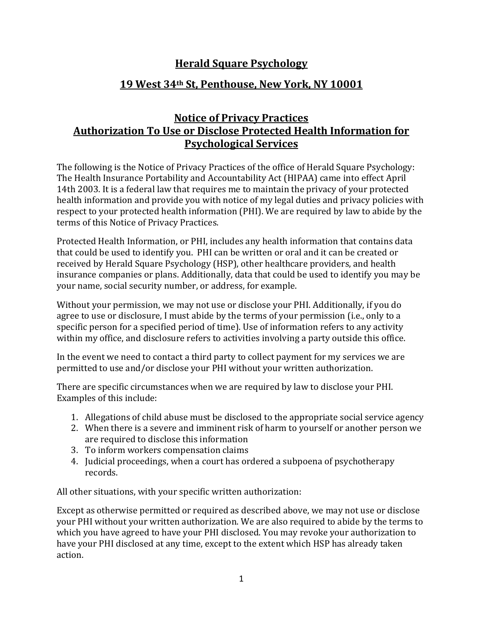## **Herald Square Psychology**

## **19 West 34th St, Penthouse, New York, NY 10001**

## **Notice of Privacy Practices Authorization To Use or Disclose Protected Health Information for Psychological Services**

The following is the Notice of Privacy Practices of the office of Herald Square Psychology: The Health Insurance Portability and Accountability Act (HIPAA) came into effect April 14th 2003. It is a federal law that requires me to maintain the privacy of your protected health information and provide you with notice of my legal duties and privacy policies with respect to your protected health information (PHI). We are required by law to abide by the terms of this Notice of Privacy Practices.

Protected Health Information, or PHI, includes any health information that contains data that could be used to identify you. PHI can be written or oral and it can be created or received by Herald Square Psychology (HSP), other healthcare providers, and health insurance companies or plans. Additionally, data that could be used to identify you may be your name, social security number, or address, for example.

Without your permission, we may not use or disclose your PHI. Additionally, if you do agree to use or disclosure, I must abide by the terms of your permission (i.e., only to a specific person for a specified period of time). Use of information refers to any activity within my office, and disclosure refers to activities involving a party outside this office.

In the event we need to contact a third party to collect payment for my services we are permitted to use and/or disclose your PHI without your written authorization.

There are specific circumstances when we are required by law to disclose your PHI. Examples of this include:

- 1. Allegations of child abuse must be disclosed to the appropriate social service agency
- 2. When there is a severe and imminent risk of harm to yourself or another person we are required to disclose this information
- 3. To inform workers compensation claims
- 4. Judicial proceedings, when a court has ordered a subpoena of psychotherapy records.

All other situations, with your specific written authorization:

Except as otherwise permitted or required as described above, we may not use or disclose your PHI without your written authorization. We are also required to abide by the terms to which you have agreed to have your PHI disclosed. You may revoke your authorization to have your PHI disclosed at any time, except to the extent which HSP has already taken action.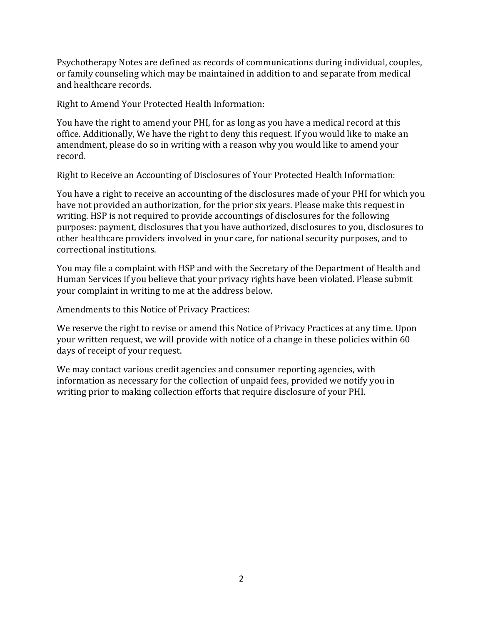Psychotherapy Notes are defined as records of communications during individual, couples, or family counseling which may be maintained in addition to and separate from medical and healthcare records.

Right to Amend Your Protected Health Information:

You have the right to amend your PHI, for as long as you have a medical record at this office. Additionally, We have the right to deny this request. If you would like to make an amendment, please do so in writing with a reason why you would like to amend your record.

Right to Receive an Accounting of Disclosures of Your Protected Health Information:

You have a right to receive an accounting of the disclosures made of your PHI for which you have not provided an authorization, for the prior six years. Please make this request in writing. HSP is not required to provide accountings of disclosures for the following purposes: payment, disclosures that you have authorized, disclosures to you, disclosures to other healthcare providers involved in your care, for national security purposes, and to correctional institutions.

You may file a complaint with HSP and with the Secretary of the Department of Health and Human Services if you believe that your privacy rights have been violated. Please submit your complaint in writing to me at the address below.

Amendments to this Notice of Privacy Practices:

We reserve the right to revise or amend this Notice of Privacy Practices at any time. Upon your written request, we will provide with notice of a change in these policies within 60 days of receipt of your request.

We may contact various credit agencies and consumer reporting agencies, with information as necessary for the collection of unpaid fees, provided we notify you in writing prior to making collection efforts that require disclosure of your PHI.